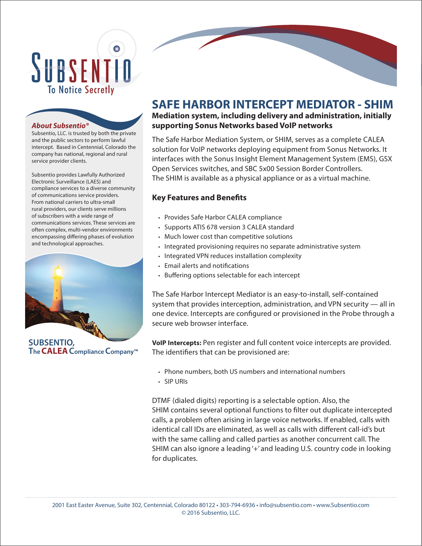# SUBSENTIN **To Notice Secretly**

#### *About Subsentio®*

Subsentio, LLC. is trusted by both the private and the public sectors to perform lawful intercept. Based in Centennial, Colorado the company has national, regional and rural service provider clients.

Subsentio provides Lawfully Authorized Electronic Surveillance (LAES) and compliance services to a diverse community of communications service providers. From national carriers to ultra-small rural providers, our clients serve millions of subscribers with a wide range of communications services. These services are often complex, multi-vendor environments encompassing differing phases of evolution and technological approaches.



**TheCALEAComplianceCompany™ SUBSENTIO,**

## **SAFE HARBOR INTERCEPT MEDIATOR - SHIM**

### **Mediation system, including delivery and administration, initially supporting Sonus Networks based VoIP networks**

The Safe Harbor Mediation System, or SHIM, serves as a complete CALEA solution for VoIP networks deploying equipment from Sonus Networks. It interfaces with the Sonus Insight Element Management System (EMS), GSX Open Services switches, and SBC 5x00 Session Border Controllers. The SHIM is available as a physical appliance or as a virtual machine.

### **Key Features and Benefits**

- Provides Safe Harbor CALEA compliance
- Supports ATIS 678 version 3 CALEA standard
- Much lower cost than competitive solutions
- Integrated provisioning requires no separate administrative system
- Integrated VPN reduces installation complexity
- Email alerts and notifications
- Buffering options selectable for each intercept

The Safe Harbor Intercept Mediator is an easy-to-install, self-contained system that provides interception, administration, and VPN security — all in one device. Intercepts are configured or provisioned in the Probe through a secure web browser interface.

**VoIP Intercepts:** Pen register and full content voice intercepts are provided. The identifiers that can be provisioned are:

- Phone numbers, both US numbers and international numbers
- SIP URIs

DTMF (dialed digits) reporting is a selectable option. Also, the SHIM contains several optional functions to filter out duplicate intercepted calls, a problem often arising in large voice networks. If enabled, calls with identical call IDs are eliminated, as well as calls with different call-id's but with the same calling and called parties as another concurrent call. The SHIM can also ignore a leading '+' and leading U.S. country code in looking for duplicates.